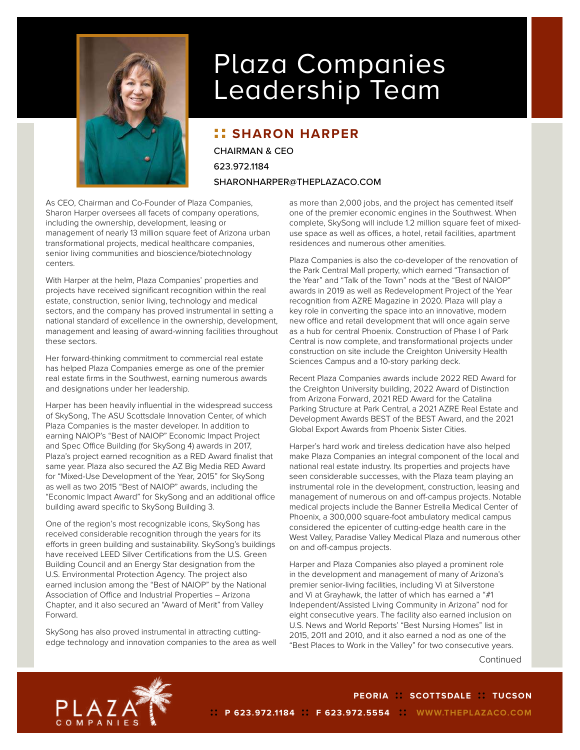

## Plaza Companies Leadership Team

## **:: SHARON HARPER**

CHAIRMAN & CEO 623.972.1184 SHARONHARPER@THEPLAZACO.COM

As CEO, Chairman and Co-Founder of Plaza Companies, Sharon Harper oversees all facets of company operations, including the ownership, development, leasing or management of nearly 13 million square feet of Arizona urban transformational projects, medical healthcare companies, senior living communities and bioscience/biotechnology centers.

With Harper at the helm, Plaza Companies' properties and projects have received significant recognition within the real estate, construction, senior living, technology and medical sectors, and the company has proved instrumental in setting a national standard of excellence in the ownership, development, management and leasing of award-winning facilities throughout these sectors.

Her forward-thinking commitment to commercial real estate has helped Plaza Companies emerge as one of the premier real estate firms in the Southwest, earning numerous awards and designations under her leadership.

Harper has been heavily influential in the widespread success of SkySong, The ASU Scottsdale Innovation Center, of which Plaza Companies is the master developer. In addition to earning NAIOP's "Best of NAIOP" Economic Impact Project and Spec Office Building (for SkySong 4) awards in 2017, Plaza's project earned recognition as a RED Award finalist that same year. Plaza also secured the AZ Big Media RED Award for "Mixed-Use Development of the Year, 2015" for SkySong as well as two 2015 "Best of NAIOP" awards, including the "Economic Impact Award" for SkySong and an additional office building award specific to SkySong Building 3.

One of the region's most recognizable icons, SkySong has received considerable recognition through the years for its efforts in green building and sustainability. SkySong's buildings have received LEED Silver Certifications from the U.S. Green Building Council and an Energy Star designation from the U.S. Environmental Protection Agency. The project also earned inclusion among the "Best of NAIOP" by the National Association of Office and Industrial Properties – Arizona Chapter, and it also secured an "Award of Merit" from Valley Forward.

SkySong has also proved instrumental in attracting cuttingedge technology and innovation companies to the area as well as more than 2,000 jobs, and the project has cemented itself one of the premier economic engines in the Southwest. When complete, SkySong will include 1.2 million square feet of mixeduse space as well as offices, a hotel, retail facilities, apartment residences and numerous other amenities.

Plaza Companies is also the co-developer of the renovation of the Park Central Mall property, which earned "Transaction of the Year" and "Talk of the Town" nods at the "Best of NAIOP" awards in 2019 as well as Redevelopment Project of the Year recognition from AZRE Magazine in 2020. Plaza will play a key role in converting the space into an innovative, modern new office and retail development that will once again serve as a hub for central Phoenix. Construction of Phase I of Park Central is now complete, and transformational projects under construction on site include the Creighton University Health Sciences Campus and a 10-story parking deck.

Recent Plaza Companies awards include 2022 RED Award for the Creighton University building, 2022 Award of Distinction from Arizona Forward, 2021 RED Award for the Catalina Parking Structure at Park Central, a 2021 AZRE Real Estate and Development Awards BEST of the BEST Award, and the 2021 Global Export Awards from Phoenix Sister Cities.

Harper's hard work and tireless dedication have also helped make Plaza Companies an integral component of the local and national real estate industry. Its properties and projects have seen considerable successes, with the Plaza team playing an instrumental role in the development, construction, leasing and management of numerous on and off-campus projects. Notable medical projects include the Banner Estrella Medical Center of Phoenix, a 300,000 square-foot ambulatory medical campus considered the epicenter of cutting-edge health care in the West Valley, Paradise Valley Medical Plaza and numerous other on and off-campus projects.

Harper and Plaza Companies also played a prominent role in the development and management of many of Arizona's premier senior-living facilities, including Vi at Silverstone and Vi at Grayhawk, the latter of which has earned a "#1 Independent/Assisted Living Community in Arizona" nod for eight consecutive years. The facility also earned inclusion on U.S. News and World Reports' "Best Nursing Homes" list in 2015, 2011 and 2010, and it also earned a nod as one of the "Best Places to Work in the Valley" for two consecutive years.

Continued